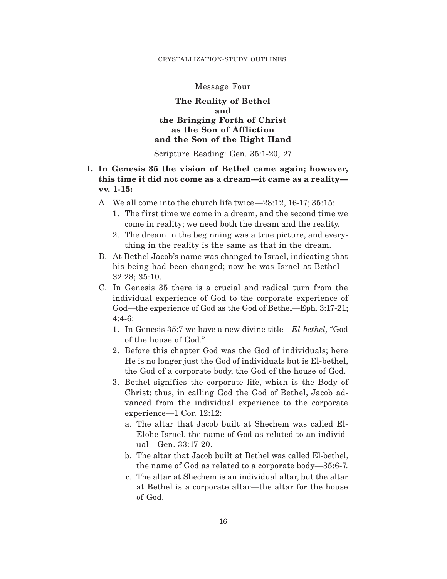#### CRYSTALLIZATION-STUDY OUTLINES

#### Message Four

## **The Reality of Bethel and the Bringing Forth of Christ as the Son of Affliction and the Son of the Right Hand**

Scripture Reading: Gen. 35:1-20, 27

# **I. In Genesis 35 the vision of Bethel came again; however, this time it did not come as a dream—it came as a reality vv. 1-15:**

- A. We all come into the church life twice—28:12, 16-17; 35:15:
	- 1. The first time we come in a dream, and the second time we come in reality; we need both the dream and the reality.
	- 2. The dream in the beginning was a true picture, and everything in the reality is the same as that in the dream.
- B. At Bethel Jacob's name was changed to Israel, indicating that his being had been changed; now he was Israel at Bethel— 32:28; 35:10.
- C. In Genesis 35 there is a crucial and radical turn from the individual experience of God to the corporate experience of God—the experience of God as the God of Bethel—Eph. 3:17-21; 4:4-6:
	- 1. In Genesis 35:7 we have a new divine title—*El-bethel,* "God of the house of God."
	- 2. Before this chapter God was the God of individuals; here He is no longer just the God of individuals but is El-bethel, the God of a corporate body, the God of the house of God.
	- 3. Bethel signifies the corporate life, which is the Body of Christ; thus, in calling God the God of Bethel, Jacob advanced from the individual experience to the corporate experience—1 Cor. 12:12:
		- a. The altar that Jacob built at Shechem was called El-Elohe-Israel, the name of God as related to an individual—Gen. 33:17-20.
		- b. The altar that Jacob built at Bethel was called El-bethel, the name of God as related to a corporate body—35:6-7.
		- c. The altar at Shechem is an individual altar, but the altar at Bethel is a corporate altar—the altar for the house of God.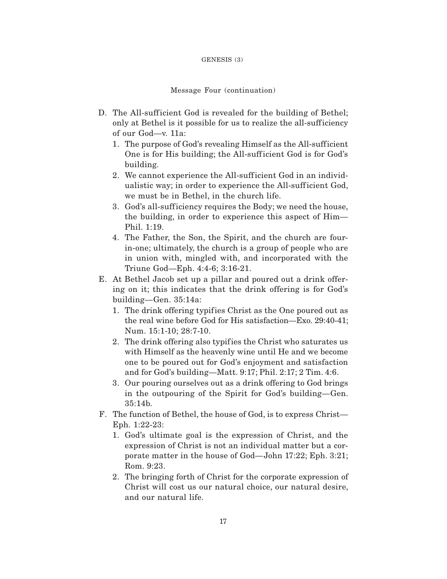#### GENESIS (3)

#### Message Four (continuation)

- D. The All-sufficient God is revealed for the building of Bethel; only at Bethel is it possible for us to realize the all-sufficiency of our God—v. 11a:
	- 1. The purpose of God's revealing Himself as the All-sufficient One is for His building; the All-sufficient God is for God's building.
	- 2. We cannot experience the All-sufficient God in an individualistic way; in order to experience the All-sufficient God, we must be in Bethel, in the church life.
	- 3. God's all-sufficiency requires the Body; we need the house, the building, in order to experience this aspect of Him— Phil. 1:19.
	- 4. The Father, the Son, the Spirit, and the church are fourin-one; ultimately, the church is a group of people who are in union with, mingled with, and incorporated with the Triune God—Eph. 4:4-6; 3:16-21.
- E. At Bethel Jacob set up a pillar and poured out a drink offering on it; this indicates that the drink offering is for God's building—Gen. 35:14a:
	- 1. The drink offering typifies Christ as the One poured out as the real wine before God for His satisfaction—Exo. 29:40-41; Num. 15:1-10; 28:7-10.
	- 2. The drink offering also typif ies the Christ who saturates us with Himself as the heavenly wine until He and we become one to be poured out for God's enjoyment and satisfaction and for God's building—Matt. 9:17; Phil. 2:17; 2 Tim. 4:6.
	- 3. Our pouring ourselves out as a drink offering to God brings in the outpouring of the Spirit for God's building—Gen.  $35:14<sub>b</sub>$ .
- F. The function of Bethel, the house of God, is to express Christ— Eph. 1:22-23:
	- 1. God's ultimate goal is the expression of Christ, and the expression of Christ is not an individual matter but a corporate matter in the house of God—John 17:22; Eph. 3:21; Rom. 9:23.
	- 2. The bringing forth of Christ for the corporate expression of Christ will cost us our natural choice, our natural desire, and our natural life.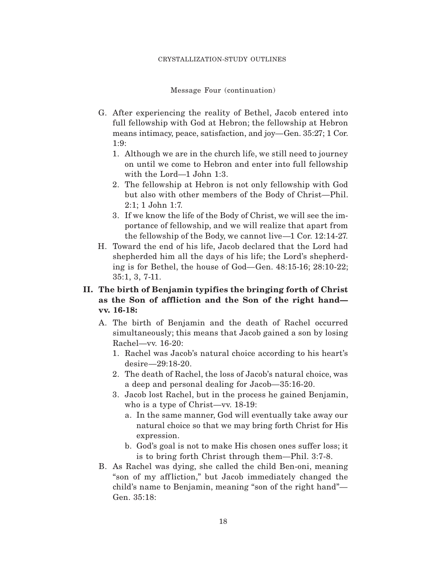Message Four (continuation)

- G. After experiencing the reality of Bethel, Jacob entered into full fellowship with God at Hebron; the fellowship at Hebron means intimacy, peace, satisfaction, and joy—Gen. 35:27; 1 Cor. 1:9:
	- 1. Although we are in the church life, we still need to journey on until we come to Hebron and enter into full fellowship with the Lord—1 John 1:3.
	- 2. The fellowship at Hebron is not only fellowship with God but also with other members of the Body of Christ—Phil. 2:1; 1 John 1:7.
	- 3. If we know the life of the Body of Christ, we will see the importance of fellowship, and we will realize that apart from the fellowship of the Body, we cannot live—1 Cor. 12:14-27.
- H. Toward the end of his life, Jacob declared that the Lord had shepherded him all the days of his life; the Lord's shepherding is for Bethel, the house of God—Gen. 48:15-16; 28:10-22; 35:1, 3, 7-11.
- **II. The birth of Benjamin typifies the bringing forth of Christ as the Son of affliction and the Son of the right hand vv. 16-18:**
	- A. The birth of Benjamin and the death of Rachel occurred simultaneously; this means that Jacob gained a son by losing Rachel—vv. 16-20:
		- 1. Rachel was Jacob's natural choice according to his heart's desire—29:18-20.
		- 2. The death of Rachel, the loss of Jacob's natural choice, was a deep and personal dealing for Jacob—35:16-20.
		- 3. Jacob lost Rachel, but in the process he gained Benjamin, who is a type of Christ—vv. 18-19:
			- a. In the same manner, God will eventually take away our natural choice so that we may bring forth Christ for His expression.
			- b. God's goal is not to make His chosen ones suffer loss; it is to bring forth Christ through them—Phil. 3:7-8.
	- B. As Rachel was dying, she called the child Ben-oni, meaning "son of my aff liction," but Jacob immediately changed the child's name to Benjamin, meaning "son of the right hand"— Gen. 35:18: